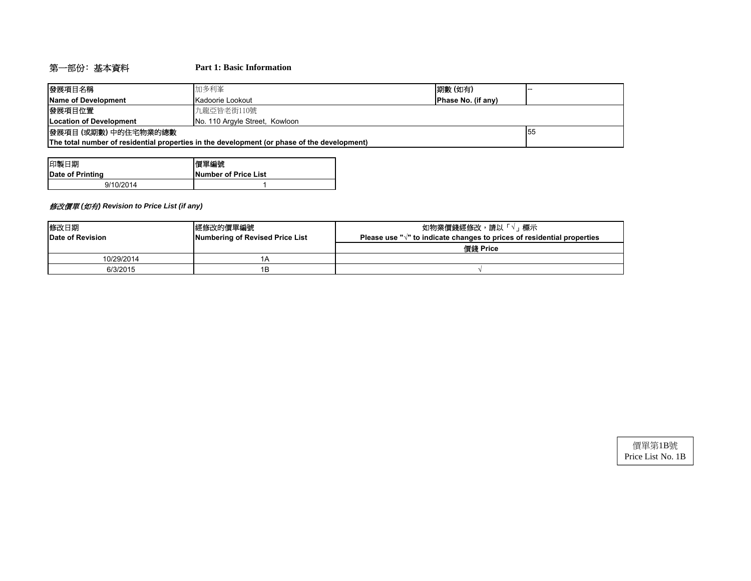# 第一部份﹕基本資料 **Part 1: Basic Information**

| 發展項目名稱                                                                                      | 期數 (如有)<br>加多利峯                        |  |  |  |  |  |
|---------------------------------------------------------------------------------------------|----------------------------------------|--|--|--|--|--|
| Name of Development                                                                         | Phase No. (if any)<br>Kadoorie Lookout |  |  |  |  |  |
| 發展項目位置                                                                                      | 九龍亞皆老街110號                             |  |  |  |  |  |
| Location of Development                                                                     | No. 110 Argyle Street, Kowloon         |  |  |  |  |  |
| 發展項目(或期數)中的住宅物業的總數                                                                          | -55                                    |  |  |  |  |  |
| The total number of residential properties in the development (or phase of the development) |                                        |  |  |  |  |  |

| 印製日期             | 慣單編號                 |
|------------------|----------------------|
| Date of Printing | Number of Price List |
| 9/10/2014        |                      |

## 修改價單 *(*如有*) Revision to Price List (if any)*

| 修改日期                                                | 經修改的價單編號 | 如物業價錢經修改,請以「<br>√」標示                                                              |  |  |  |
|-----------------------------------------------------|----------|-----------------------------------------------------------------------------------|--|--|--|
| Numbering of Revised Price List<br>Date of Revision |          | Please use " $\sqrt{ }$ " to indicate changes to prices of residential properties |  |  |  |
|                                                     |          | 價錢 Price                                                                          |  |  |  |
| 10/29/2014                                          | IΑ       |                                                                                   |  |  |  |
| 6/3/2015                                            | 1Β       |                                                                                   |  |  |  |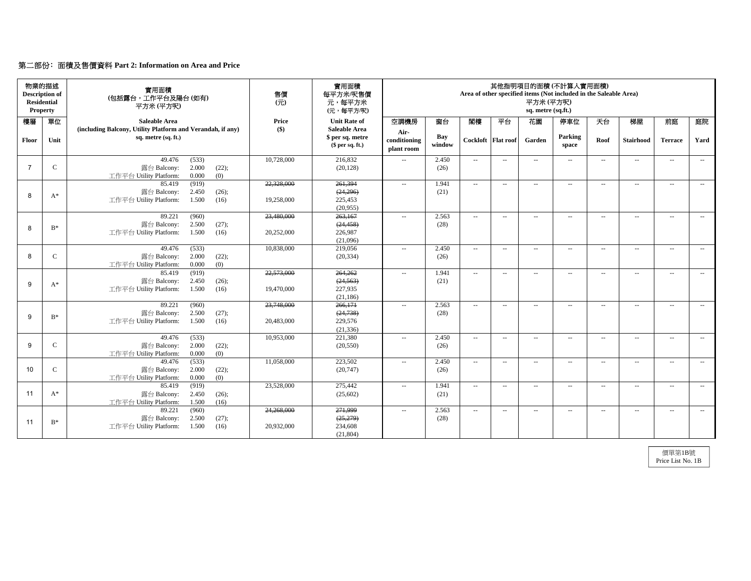## 第二部份﹕面積及售價資料 **Part 2: Information on Area and Price**

|                | 物業的描述<br><b>Description of</b><br><b>Residential</b><br><b>Property</b> | 實用面積<br>(包括露台,工作平台及陽台(如有)<br>平方米(平方呎)                                                       | 售價<br>$\overline{\pi}$   | 實用面積<br>每平方米/呎售價<br>元,每平方米<br>(元,每平方/呎)                    | 其他指明項目的面積 (不計算人實用面積)<br>Area of other specified items (Not included in the Saleable Area)<br>平方米 (平方呎)<br>sq. metre (sq.ft.) |               |                          |               |                          |                          |               |                          |                             |                          |
|----------------|-------------------------------------------------------------------------|---------------------------------------------------------------------------------------------|--------------------------|------------------------------------------------------------|------------------------------------------------------------------------------------------------------------------------------|---------------|--------------------------|---------------|--------------------------|--------------------------|---------------|--------------------------|-----------------------------|--------------------------|
| 樓層             | 單位                                                                      | <b>Saleable Area</b>                                                                        | Price                    | <b>Unit Rate of</b>                                        | 空調機房                                                                                                                         | 窗台            | 閏樓                       | 平台            | 花園                       | 停車位                      | 天台            | 梯屋                       | 前庭                          | 庭院                       |
| Floor          | Unit                                                                    | (including Balcony, Utility Platform and Verandah, if any)<br>sq. metre (sq. ft.)           | $($ \$)                  | <b>Saleable Area</b><br>\$ per sq. metre<br>\$per sq. ft.) | Air-<br>conditioning<br>plant room                                                                                           | Bay<br>window | Cockloft Flat roof       |               | Garden                   | Parking<br>space         | Roof          | Stairhood                | <b>Terrace</b>              | Yard                     |
| $\overline{7}$ | $\mathsf C$                                                             | (533)<br>49.476<br>2.000<br>露台 Balcony:<br>(22);<br>0.000<br>(0)<br>工作平台 Utility Platform:  | 10,728,000               | 216,832<br>(20, 128)                                       | $\overline{a}$                                                                                                               | 2.450<br>(26) | $\overline{\phantom{a}}$ | $\sim$        | $\sim$                   | $\sim$                   | $\sim$        | $\overline{\phantom{a}}$ | $\mathcal{L}_{\mathcal{L}}$ | $\sim$ $\sim$            |
| 8              | $A^*$                                                                   | (919)<br>85.419<br>露台 Balcony:<br>2.450<br>(26);<br>1.500<br>工作平台 Utility Platform:<br>(16) | 22,328,000<br>19,258,000 | 261,394<br>(24, 296)<br>225,453<br>(20,955)                | $\overline{\phantom{a}}$                                                                                                     | 1.941<br>(21) | $\overline{\phantom{a}}$ | $\sim$ $\sim$ | $\overline{a}$           | $\sim$                   | $\sim$        | $\sim$                   | $\mathcal{L}_{\mathcal{A}}$ | $\sim$ $\sim$            |
| 8              | $B^*$                                                                   | 89.221<br>(960)<br>2.500<br>露台 Balcony:<br>(27);<br>工作平台 Utility Platform:<br>1.500<br>(16) | 23,480,000<br>20,252,000 | 263,167<br>(24, 458)<br>226,987<br>(21,096)                | $\sim$                                                                                                                       | 2.563<br>(28) | $\sim$ $\sim$            | $\sim$ $\sim$ | $\overline{a}$           | $\sim$ $\sim$            | $\sim$ $\sim$ | $\sim$ $\sim$            | $\sim$ $\sim$               | $\sim$ $-$               |
| 8              | $\mathbf C$                                                             | 49.476<br>(533)<br>2.000<br>露台 Balcony:<br>(22);<br>工作平台 Utility Platform:<br>0.000<br>(0)  | 10,838,000               | 219,056<br>(20, 334)                                       | $\overline{\phantom{a}}$                                                                                                     | 2.450<br>(26) | $\overline{\phantom{a}}$ | $\sim$ $-$    | $\hspace{0.05cm} \ldots$ | $\sim$                   | $\sim$        | $\hspace{0.05cm} \ldots$ | $\sim$                      | $\sim$                   |
| 9              | $A^*$                                                                   | 85.419<br>(919)<br>2.450<br>露台 Balcony:<br>(26);<br>工作平台 Utility Platform:<br>1.500<br>(16) | 22,573,000<br>19,470,000 | 264,262<br>(24, 563)<br>227,935<br>(21, 186)               | $\sim$                                                                                                                       | 1.941<br>(21) | $\overline{\phantom{a}}$ | $\sim$ $\sim$ | $\overline{a}$           | $\overline{\phantom{a}}$ | $\sim$ $-$    | $\hspace{0.05cm} \ldots$ | $\overline{\phantom{a}}$    | $\overline{\phantom{a}}$ |
| 9              | $\mathbf{B}^*$                                                          | 89.221<br>(960)<br>2.500<br>(27);<br>露台 Balcony:<br>工作平台 Utility Platform:<br>1.500<br>(16) | 23,748,000<br>20,483,000 | 266,171<br>(24, 738)<br>229,576<br>(21, 336)               | $\sim$                                                                                                                       | 2.563<br>(28) | $\overline{\phantom{a}}$ | $\sim$        | $\overline{a}$           | $\sim$                   | $\sim$ $\sim$ | $\sim$ $\sim$            | $\sim$ $\sim$               | $\sim$ $\sim$            |
| 9              | $\mathbf C$                                                             | 49,476<br>(533)<br>2.000<br>露台 Balcony:<br>(22);<br>工作平台 Utility Platform:<br>0.000<br>(0)  | 10,953,000               | 221,380<br>(20, 550)                                       | $\sim$                                                                                                                       | 2.450<br>(26) | $\overline{\phantom{a}}$ | $\sim$        | $\overline{\phantom{a}}$ | $\sim$                   | $\sim$        | $\sim$                   | $\sim$ $\sim$               | $\sim$ $\sim$            |
| 10             | $\mathbf C$                                                             | 49.476<br>(533)<br>2.000<br>露台 Balcony:<br>(22);<br>0.000<br>(0)<br>工作平台 Utility Platform:  | 11.058.000               | 223,502<br>(20, 747)                                       | $\sim$ $\sim$                                                                                                                | 2.450<br>(26) | $\ldots$                 | $\sim$ $\sim$ | $\sim$                   | $\sim$                   | $\sim$        | $\sim$ $\sim$            | $\mathbb{Z}^{\mathbb{Z}}$   | $\sim$ $\sim$            |
| 11             | $A^*$                                                                   | 85.419<br>(919)<br>露台 Balcony:<br>2.450<br>(26);<br>工作平台 Utility Platform:<br>1.500<br>(16) | 23,528,000               | 275,442<br>(25,602)                                        | $\overline{\phantom{a}}$                                                                                                     | 1.941<br>(21) | $\overline{\phantom{a}}$ | $\sim$        | $\overline{\phantom{a}}$ | $\sim$                   | $\sim$ $-$    | $\overline{\phantom{a}}$ | $\sim$                      | $\overline{\phantom{a}}$ |
| 11             | $B^*$                                                                   | (960)<br>89.221<br>2.500<br>露台 Balcony:<br>(27);<br>1.500<br>工作平台 Utility Platform:<br>(16) | 24,268,000<br>20,932,000 | 271,999<br>(25,279)<br>234,608<br>(21, 804)                | $\sim$                                                                                                                       | 2.563<br>(28) | $\overline{\phantom{a}}$ | $\sim$ $\sim$ | $\hspace{0.05cm} \ldots$ | $\sim$                   | $\sim$ $-$    | $\hspace{0.05cm} \ldots$ | $\overline{\phantom{a}}$    | $\sim$ $\sim$            |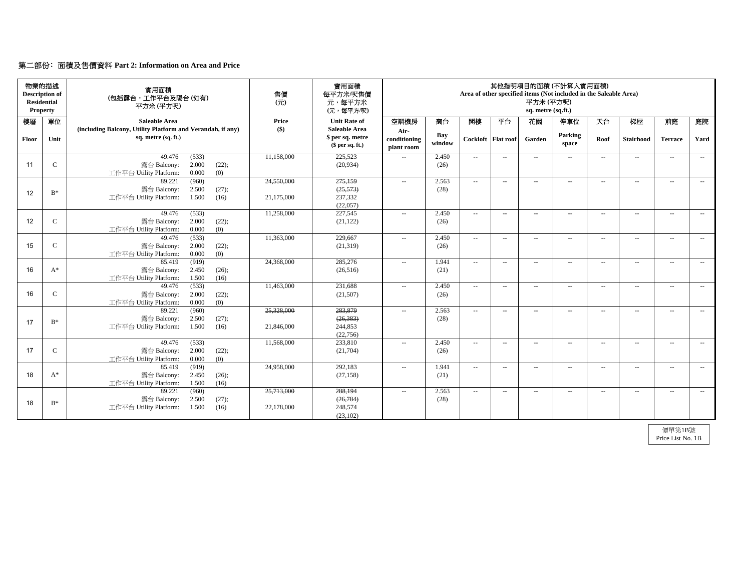## 第二部份﹕面積及售價資料 **Part 2: Information on Area and Price**

|       | 物業的描述<br><b>Description of</b><br><b>Residential</b><br>Property | 實用面積<br>(包括露台,工作平台及陽台(如有)<br>平方米 (平方呎)                                                      | 售價<br>$\overline{\pi}$   | 實用面積<br>每平方米/呎售價<br>元,每平方米<br>(元,每平方/呎)                    | 其他指明項目的面積 (不計算人實用面積)<br>Area of other specified items (Not included in the Saleable Area)<br>平方米 (平方呎)<br>sq. metre (sq.ft.) |               |                          |                  |                          |                          |               |                          |                             |                          |
|-------|------------------------------------------------------------------|---------------------------------------------------------------------------------------------|--------------------------|------------------------------------------------------------|------------------------------------------------------------------------------------------------------------------------------|---------------|--------------------------|------------------|--------------------------|--------------------------|---------------|--------------------------|-----------------------------|--------------------------|
| 樓層    | 單位                                                               | <b>Saleable Area</b>                                                                        | Price                    | <b>Unit Rate of</b>                                        | 空調機房                                                                                                                         | 窗台            | 閣樓                       | 平台               | 花園                       | 停車位                      | 天台            | 梯屋                       | 前庭                          | 庭院                       |
| Floor | Unit                                                             | (including Balcony, Utility Platform and Verandah, if any)<br>sq. metre (sq. ft.)           | $($ \$)                  | <b>Saleable Area</b><br>\$ per sq. metre<br>\$per sq. ft.) | Air-<br>conditioning<br>plant room                                                                                           | Bay<br>window | Cockloft                 | <b>Flat</b> roof | Garden                   | Parking<br>space         | Roof          | <b>Stairhood</b>         | <b>Terrace</b>              | Yard                     |
| 11    | $\mathbf C$                                                      | 49.476<br>(533)<br>2.000<br>露台 Balcony:<br>(22);<br>工作平台 Utility Platform:<br>0.000<br>(0)  | 11,158,000               | 225,523<br>(20,934)                                        | $\sim$ $\sim$                                                                                                                | 2.450<br>(26) | $\overline{\phantom{a}}$ | $\sim$ $\sim$    | $\sim$ $\sim$            | $\sim$                   | $\sim$        | $\sim$ $\sim$            | $\sim$ $\sim$               | $\sim$                   |
| 12    | $B^*$                                                            | 89.221<br>(960)<br>2.500<br>露台 Balcony:<br>(27);<br>工作平台 Utility Platform:<br>1.500<br>(16) | 24,550,000<br>21,175,000 | 275,159<br>(25, 573)<br>237,332<br>(22,057)                | $\sim$                                                                                                                       | 2.563<br>(28) | $\overline{\phantom{a}}$ | $\sim$           | $\overline{a}$           | $\overline{\phantom{a}}$ | $\sim$ $-$    | $\overline{\phantom{m}}$ | $\sim$ $\sim$               | $\overline{\phantom{a}}$ |
| 12    | $\mathbf C$                                                      | 49.476<br>(533)<br>2.000<br>露台 Balcony:<br>(22);<br>工作平台 Utility Platform:<br>0.000<br>(0)  | 11.258,000               | 227,545<br>(21, 122)                                       | $\overline{\phantom{a}}$                                                                                                     | 2.450<br>(26) | $\ldots$                 | $\sim$           | $\overline{\phantom{a}}$ | $\sim$                   | $\sim$        | $\sim$                   | $\sim$ $\sim$               | $\sim$                   |
| 15    | $\mathsf C$                                                      | (533)<br>49.476<br>露台 Balcony:<br>2.000<br>(22);<br>0.000<br>(0)<br>工作平台 Utility Platform:  | 11,363,000               | 229,667<br>(21, 319)                                       | $\sim$ $\sim$                                                                                                                | 2.450<br>(26) | $\sim$ $\sim$            | $\sim$ $\sim$    | $\sim$                   | $\sim$                   | $\sim$        | $\sim$ $\sim$            | $\sim$ $\sim$               | $\sim$ $-$               |
| 16    | $A^*$                                                            | (919)<br>85.419<br>露台 Balcony:<br>2.450<br>(26);<br>工作平台 Utility Platform:<br>1.500<br>(16) | 24,368,000               | 285,276<br>(26,516)                                        | $\sim$                                                                                                                       | 1.941<br>(21) | $\overline{\phantom{a}}$ | $\sim$           | $\overline{\phantom{a}}$ | $\sim$                   | $\sim$ $-$    | $\sim$                   | $\sim$ $\sim$               | $\sim$                   |
| 16    | $\mathbf C$                                                      | 49.476<br>(533)<br>2.000<br>露台 Balcony:<br>(22);<br>0.000<br>(0)<br>工作平台 Utility Platform:  | 11,463,000               | 231,688<br>(21,507)                                        | $\overline{\phantom{a}}$                                                                                                     | 2.450<br>(26) | $\overline{\phantom{a}}$ | $\sim$ $\sim$    | $\overline{a}$           | $\sim$ $\sim$            | $\sim$ $-$    | $\sim$                   | $\mathcal{L}_{\mathcal{A}}$ | $\sim$ $\sim$            |
| 17    | $B^*$                                                            | (960)<br>89.221<br>2.500<br>露台 Balcony:<br>(27);<br>工作平台 Utility Platform:<br>1.500<br>(16) | 25,328,000<br>21,846,000 | 283,879<br>(26, 383)<br>244,853<br>(22,756)                | $\sim$                                                                                                                       | 2.563<br>(28) | $\overline{\phantom{a}}$ | $\sim$           | $\overline{a}$           | $\sim$                   | $\sim$ $\sim$ | $\hspace{0.05cm} \ldots$ | $\mathcal{L}_{\mathcal{A}}$ | $\overline{\phantom{a}}$ |
| 17    | $\mathsf C$                                                      | 49.476<br>(533)<br>2.000<br>露台 Balcony:<br>(22);<br>(0)<br>工作平台 Utility Platform:<br>0.000  | 11,568,000               | 233,810<br>(21,704)                                        | $\overline{a}$                                                                                                               | 2.450<br>(26) | $\overline{\phantom{a}}$ | $\sim$           | $\cdots$                 | $\overline{\phantom{a}}$ | $\sim$ $-$    | $\overline{\phantom{a}}$ | $\sim$ $\sim$               | $\overline{\phantom{a}}$ |
| 18    | $A^*$                                                            | (919)<br>85.419<br>2.450<br>露台 Balcony:<br>(26);<br>工作平台 Utility Platform:<br>1.500<br>(16) | 24,958,000               | 292,183<br>(27, 158)                                       | $\overline{\phantom{a}}$                                                                                                     | 1.941<br>(21) | $\overline{\phantom{a}}$ | $\sim$ $\sim$    | $\overline{a}$           | $\overline{\phantom{a}}$ | $\sim$ $-$    | $\hspace{0.05cm} \ldots$ | $\overline{\phantom{a}}$    | $\overline{\phantom{a}}$ |
| 18    | $B^*$                                                            | 89.221<br>(960)<br>露台 Balcony:<br>2.500<br>(27);<br>1.500<br>工作平台 Utility Platform:<br>(16) | 25,713,000<br>22,178,000 | 288,194<br>(26, 784)<br>248,574<br>(23, 102)               | $\sim$                                                                                                                       | 2.563<br>(28) | $\overline{\phantom{a}}$ | $\sim$           | $\hspace{0.05cm} \ldots$ | $\sim$                   | $\sim$        | $\sim$                   | $\mathcal{L}_{\mathcal{F}}$ | $\sim$                   |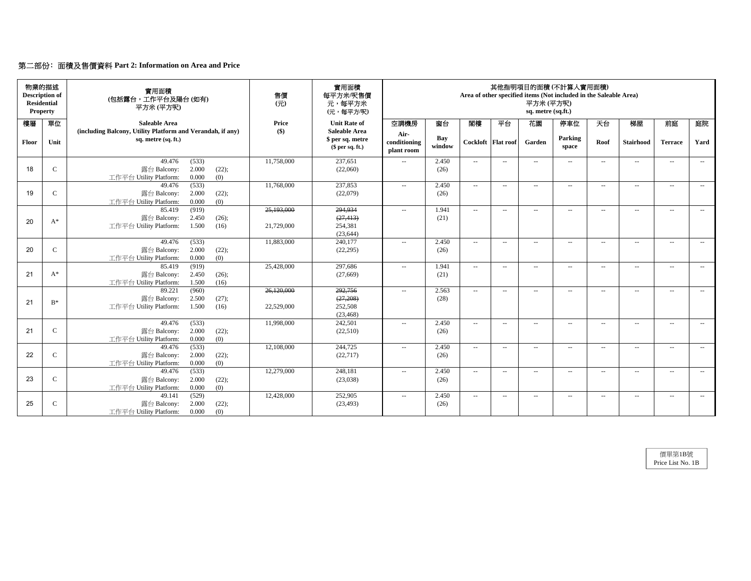## 第二部份﹕面積及售價資料 **Part 2: Information on Area and Price**

|       | 物業的描述<br><b>Description of</b><br><b>Residential</b><br>Property | 實用面積<br>(包括露台,工作平台及陽台(如有)<br>平方米(平方呎)                                                       | 售價<br>$\left( \overline{\pi} \right)$ | 實用面積<br>每平方米/呎售價<br>元,每平方米<br>(元,每平方/呎)                    |                                    |               |                          |                    | 其他指明項目的面積 (不計算入實用面積)<br>Area of other specified items (Not included in the Saleable Area)<br>平方米 (平方呎)<br>sq. metre (sq.ft.) |                  |                          |                             |                             |                          |  |
|-------|------------------------------------------------------------------|---------------------------------------------------------------------------------------------|---------------------------------------|------------------------------------------------------------|------------------------------------|---------------|--------------------------|--------------------|------------------------------------------------------------------------------------------------------------------------------|------------------|--------------------------|-----------------------------|-----------------------------|--------------------------|--|
| 樓層    | 單位                                                               | <b>Saleable Area</b>                                                                        | Price                                 | <b>Unit Rate of</b>                                        | 空調機房                               | 窗台            | 閣樓                       | 平台                 | 花園                                                                                                                           | 停車位              | 天台                       | 梯屋                          | 前庭                          | 庭院                       |  |
| Floor | Unit                                                             | (including Balcony, Utility Platform and Verandah, if any)<br>sq. metre (sq. ft.)           | $($ \$)                               | <b>Saleable Area</b><br>\$ per sq. metre<br>\$per sq. ft.) | Air-<br>conditioning<br>plant room | Bay<br>window |                          | Cockloft Flat roof | Garden                                                                                                                       | Parking<br>space | Roof                     | <b>Stairhood</b>            | <b>Terrace</b>              | Yard                     |  |
| 18    | $\mathbf C$                                                      | 49.476<br>(533)<br>2.000<br>露台 Balcony:<br>(22);<br>(0)<br>工作平台 Utility Platform:<br>0.000  | 11,758,000                            | 237,651<br>(22,060)                                        | $\overline{\phantom{a}}$           | 2.450<br>(26) | $\sim$ $\sim$            | $\sim$             | $\sim$ $\sim$                                                                                                                | $\sim$           | $\sim$ $-$               | $\sim$                      | $\sim$ $\sim$               | $\sim$                   |  |
| 19    | $\mathcal{C}$                                                    | 49.476<br>(533)<br>2.000<br>(22);<br>露台 Balcony:<br>0.000<br>(0)<br>工作平台 Utility Platform:  | 11,768,000                            | 237,853<br>(22,079)                                        | $\overline{\phantom{a}}$           | 2.450<br>(26) | $\sim$                   | $\sim$             | $\overline{a}$                                                                                                               | $\sim$ $\sim$    | $\sim$ $\sim$            | $\sim$                      | $\mathcal{L}_{\mathcal{F}}$ | $\sim$ $\sim$            |  |
| 20    | $A^*$                                                            | (919)<br>85.419<br>2.450<br>露台 Balcony:<br>(26);<br>工作平台 Utility Platform:<br>1.500<br>(16) | 25,193,000<br>21,729,000              | 294,934<br>(27, 413)<br>254,381<br>(23, 644)               | $\overline{\phantom{a}}$           | 1.941<br>(21) | $\sim$ $\sim$            | $\sim$             | $\sim$                                                                                                                       | $\sim$ $\sim$    | $\sim$ $\sim$            | $\mathcal{L}_{\mathcal{F}}$ | $\mathcal{L}_{\mathcal{F}}$ | $\sim$ $\sim$            |  |
| 20    | $\mathcal{C}$                                                    | 49.476<br>(533)<br>2.000<br>(22);<br>露台 Balcony:<br>0.000<br>工作平台 Utility Platform:<br>(0)  | 11,883,000                            | 240,177<br>(22, 295)                                       | $\sim$                             | 2.450<br>(26) | $\sim$ $\sim$            | $\sim$             | $\sim$                                                                                                                       | $\sim$           | $\sim$ $\sim$            | $\sim$ $\sim$               | $\sim$ $\sim$               | $\sim$ $\sim$            |  |
| 21    | $A^*$                                                            | 85.419<br>(919)<br>2.450<br>露台 Balcony:<br>(26);<br>(16)<br>工作平台 Utility Platform:<br>1.500 | 25,428,000                            | 297,686<br>(27,669)                                        | $\overline{\phantom{a}}$           | 1.941<br>(21) | $\overline{\phantom{a}}$ | $\sim$             | $\hspace{0.05cm} \ldots$                                                                                                     | $\sim$           | $\overline{\phantom{a}}$ | $\hspace{0.05cm} \ldots$    | $\sim$ $\sim$               | $\sim$                   |  |
| 21    | $B^*$                                                            | (960)<br>89.221<br>2.500<br>露台 Balcony:<br>(27);<br>工作平台 Utility Platform:<br>1.500<br>(16) | 26,120,000<br>22,529,000              | 292,756<br>(27, 208)<br>252,508<br>(23, 468)               | $\overline{\phantom{a}}$           | 2.563<br>(28) | $\sim$ $\sim$            | $\sim$             | $\sim$                                                                                                                       | $\sim$           | $\sim$ $-$               | $\sim$                      | $\mathcal{L}_{\mathcal{F}}$ | $\sim$ $\sim$            |  |
| 21    | $\mathcal{C}$                                                    | 49.476<br>(533)<br>2.000<br>露台 Balcony:<br>(22);<br>工作平台 Utility Platform:<br>0.000<br>(0)  | 11,998,000                            | 242,501<br>(22,510)                                        | $\overline{a}$                     | 2.450<br>(26) | $\sim$ $\sim$            | $\sim$ $\sim$      | $\overline{a}$                                                                                                               | $\sim$           | $\sim$ $\sim$            | $\sim$ $\sim$               | $\sim$ $\sim$               | $\sim$ $\sim$            |  |
| 22    | $\mathcal{C}$                                                    | (533)<br>49.476<br>露台 Balcony:<br>2.000<br>(22);<br>(0)<br>工作平台 Utility Platform:<br>0.000  | 12,108,000                            | 244,725<br>(22, 717)                                       | $\overline{\phantom{a}}$           | 2.450<br>(26) | $\overline{\phantom{a}}$ | $\sim$             | $\hspace{0.05cm} \ldots$                                                                                                     | $\sim$ $\sim$    | $\overline{\phantom{a}}$ | $\sim$ $\sim$               | $\sim$ $\sim$               | $\sim$                   |  |
| 23    | $\mathsf C$                                                      | (533)<br>49.476<br>2.000<br>露台 Balcony:<br>(22);<br>工作平台 Utility Platform:<br>(0)<br>0.000  | 12,279,000                            | 248,181<br>(23,038)                                        | $\sim$ $\sim$                      | 2.450<br>(26) | $\overline{\phantom{a}}$ | $\sim$             | $\sim$                                                                                                                       | $\sim$ $\sim$    | $\sim$ $-$               | $\sim$ $\sim$               | $\mathcal{L}_{\mathcal{F}}$ | $\sim$ $-$               |  |
| 25    | $\mathcal{C}$                                                    | (529)<br>49.141<br>露台 Balcony:<br>2.000<br>(22);<br>0.000<br>工作平台 Utility Platform:<br>(0)  | 12,428,000                            | 252,905<br>(23, 493)                                       | $\overline{\phantom{a}}$           | 2.450<br>(26) | $\overline{\phantom{a}}$ | $\sim$ $-$         | $\cdots$                                                                                                                     | $\sim$           | $\sim$ $\sim$            | $\sim$ $\sim$               | $\sim$ $\sim$               | $\overline{\phantom{a}}$ |  |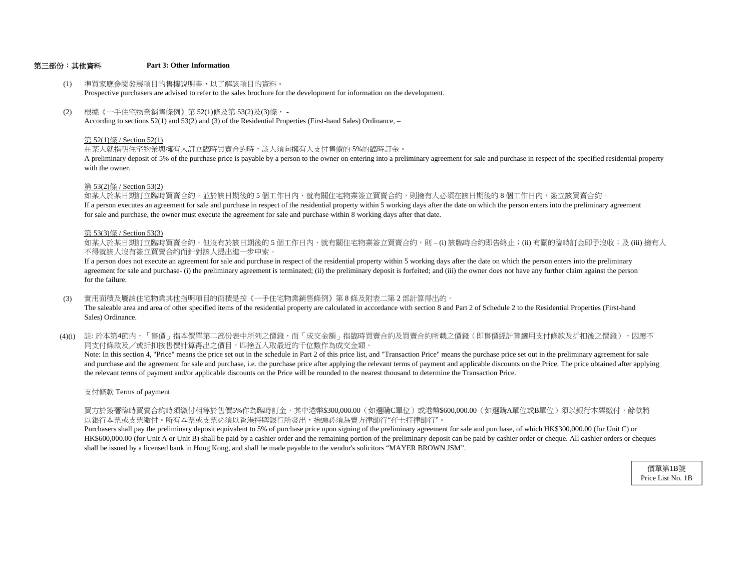## 第三部份:其他資料 **Part 3: Other Information**

- (1) 準買家應參閱發展項目的售樓說明書,以了解該項目的資料。 Prospective purchasers are advised to refer to the sales brochure for the development for information on the development.
- (2) 根據《一手住宅物業銷售條例》第 52(1)條及第 53(2)及(3)條, - According to sections 52(1) and 53(2) and (3) of the Residential Properties (First-hand Sales) Ordinance, –

#### 第 52(1)條 / Section 52(1)

在某人就指明住宅物業與擁有人訂立臨時買賣合約時,該人須向擁有人支付售價的 5%的臨時訂金。

with the owner.A preliminary deposit of 5% of the purchase price is payable by a person to the owner on entering into a preliminary agreement for sale and purchase in respect of the specified residential property

#### 第 53(2)條 / Section 53(2)

for sale and purchase, the owner must execute the agreement for sale and purchase within 8 working days after that date. If a person executes an agreement for sale and purchase in respect of the residential property within 5 working days after the date on which the person enters into the preliminary agreement 如某人於某日期訂立臨時買賣合約,並於該日期後的 5 個工作日内,就有關住宅物業簽立買賣合約,則擁有人必須在該日期後的 8 個工作日内,簽立該買賣合約。

#### 第 53(3)條 / Section 53(3)

不得就該人沒有簽立買賣合約而針對該人提出進一步申索。 如某人於某日期訂立臨時買賣合約,但沒有於該日期後的 5 個工作日内,就有關住宅物業簽立買賣合約,則 – (i) 該臨時合約即告終止;(ii) 有關的臨時訂金即予沒收;及 (iii) 擁有人

for the failure. agreement for sale and purchase- (i) the preliminary agreement is terminated; (ii) the preliminary deposit is forfeited; and (iii) the owner does not have any further claim against the person If a person does not execute an agreement for sale and purchase in respect of the residential property within 5 working days after the date on which the person enters into the preliminary

- (3) 實用面積及屬該住宅物業其他指明項目的面積是按《一手住宅物業銷售條例》第 8 條及附表二第 2 部計算得出的。 The saleable area and area of other specified items of the residential property are calculated in accordance with section 8 and Part 2 of Schedule 2 to the Residential Properties (First-hand Sales) Ordinance.
- (4)(i) 註:於本第4節內,「售價」指本價單第二部份表中所列之價錢,而「成交金額」指臨時買賣合約及買賣合約所載之價錢(即售價經計算適用支付條款及折扣後之價錢),因應不 同支付條款及/或折扣按售價計算得出之價目,四捨五入取最近的千位數作為成交金額。

the relevant terms of payment and/or applicable discounts on the Price will be rounded to the nearest thousand to determine the Transaction Price. and purchase and the agreement for sale and purchase, i.e. the purchase price after applying the relevant terms of payment and applicable discounts on the Price. The price obtained after applying Note: In this section 4, "Price" means the price set out in the schedule in Part 2 of this price list, and "Transaction Price" means the purchase price set out in the preliminary agreement for sale

#### 支付條款 Terms of payment

以銀行本票或支票繳付。所有本票或支票必須以香港持牌銀行所發出,抬頭必須為賣方律師行"行士打律師行"。 買方於簽署臨時買賣合約時須繳付相等於售價5%作為臨時訂金,其中港幣\$300,000.00(如選購C單位)或港幣\$600,000.00(如選購A單位或B單位)須以銀行本票繳付,餘款將

shall be issued by a licensed bank in Hong Kong, and shall be made payable to the vendor's solicitors "MAYER BROWN JSM". HK\$600,000.00 (for Unit A or Unit B) shall be paid by a cashier order and the remaining portion of the preliminary deposit can be paid by cashier order or cheque. All cashier orders or cheques Purchasers shall pay the preliminary deposit equivalent to 5% of purchase price upon signing of the preliminary agreement for sale and purchase, of which HK\$300,000.00 (for Unit C) or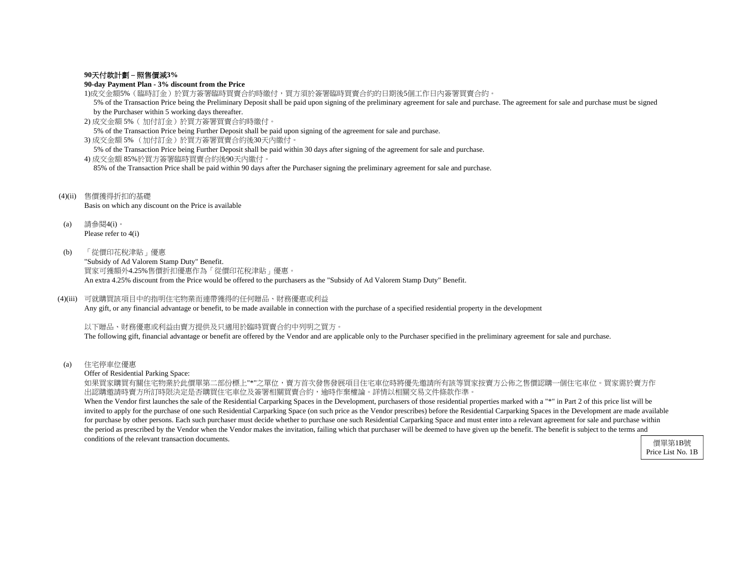## **90**天付款計劃 **–** 照售價減**3%**

## **90-day Payment Plan - 3% discount from the Price**

1)成交金額5%(臨時訂金)於買方簽署臨時買賣合約時繳付,買方須於簽署臨時買賣合約的日期後5個工作日內簽署買賣合約。

 5% of the Transaction Price being the Preliminary Deposit shall be paid upon signing of the preliminary agreement for sale and purchase. The agreement for sale and purchase must be signed by the Purchaser within 5 working days thereafter.

2) 成交金額 5%( 加付訂金)於買方簽署買賣合約時繳付。

5% of the Transaction Price being Further Deposit shall be paid upon signing of the agreement for sale and purchase.

3) 成交金額 5% (加付訂金)於買方簽署買賣合約後30天內繳付。

5% of the Transaction Price being Further Deposit shall be paid within 30 days after signing of the agreement for sale and purchase.

4) 成交金額 85%於買方簽署臨時買賣合約後90天內繳付。

85% of the Transaction Price shall be paid within 90 days after the Purchaser signing the preliminary agreement for sale and purchase.

(4)(ii) 售價獲得折扣的基礎 Basis on which any discount on the Price is available

(a) 請參閱4(i)。 Please refer to 4(i)

(b) 「從價印花稅津貼」優惠

"Subsidy of Ad Valorem Stamp Duty" Benefit. 買家可獲額外4.25%售價折扣優惠作為「從價印花稅津貼」優惠。 An extra 4.25% discount from the Price would be offered to the purchasers as the "Subsidy of Ad Valorem Stamp Duty" Benefit.

## (4)(iii) 可就購買該項目中的指明住宅物業而連帶獲得的任何贈品、財務優惠或利益

Any gift, or any financial advantage or benefit, to be made available in connection with the purchase of a specified residential property in the development

以下贈品、財務優惠或利益由賣方提供及只適用於臨時買賣合約中列明之買方。

The following gift, financial advantage or benefit are offered by the Vendor and are applicable only to the Purchaser specified in the preliminary agreement for sale and purchase.

(a) 住宅停車位優惠

Offer of Residential Parking Space:

如果買家購買有關住宅物業於此價單第二部份標上"\*"之單位,賣方首次發售發展項目住宅車位時將優先邀請所有該等買家按賣方公佈之售價認購一個住宅車位。買家需於賣方作 出認購邀請時賣方所訂時限決定是否購買住宅車位及簽署相關買賣合約,逾時作棄權論。詳情以相關交易文件條款作準。

When the Vendor first launches the sale of the Residential Carparking Spaces in the Development, purchasers of those residential properties marked with a "\*" in Part 2 of this price list will be invited to apply for the purchase of one such Residential Carparking Space (on such price as the Vendor prescribes) before the Residential Carparking Spaces in the Development are made available for purchase by other persons. Each such purchaser must decide whether to purchase one such Residential Carparking Space and must enter into a relevant agreement for sale and purchase within the period as prescribed by the Vendor when the Vendor makes the invitation, failing which that purchaser will be deemed to have given up the benefit. The benefit is subject to the terms and conditions of the relevant transaction documents.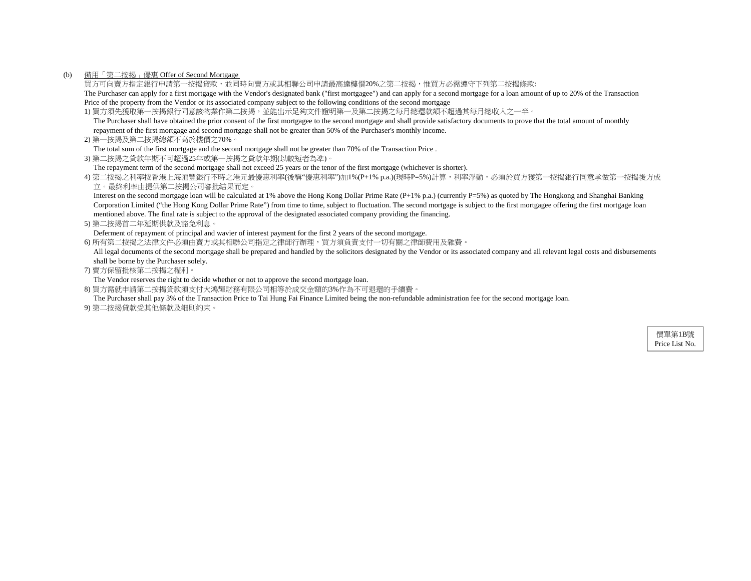## (b) 備用「第二按揭」優惠 Offer of Second Mortgage

買方可向賣方指定銀行申請第一按揭貸款,並同時向賣方或其相聯公司申請最高達樓價20%之第二按揭,惟買方必需遵守下列第二按揭條款: The Purchaser can apply for a first mortgage with the Vendor's designated bank ("first mortgagee") and can apply for a second mortgage for a loan amount of up to 20% of the Transaction Price of the property from the Vendor or its associated company subject to the following conditions of the second mortgage

1) 買方須先獲取第一按揭銀行同意該物業作第二按揭,並能出示足夠文件證明第一及第二按揭之每月總還款額不超過其每月總收入之一半。

 The Purchaser shall have obtained the prior consent of the first mortgagee to the second mortgage and shall provide satisfactory documents to prove that the total amount of monthly repayment of the first mortgage and second mortgage shall not be greater than 50% of the Purchaser's monthly income.

2) 第一按揭及第二按揭總額不高於樓價之70%。

The total sum of the first mortgage and the second mortgage shall not be greater than 70% of the Transaction Price .

3) 第二按揭之貸款年期不可超過25年或第一按揭之貸款年期(以較短者為準)。

The repayment term of the second mortgage shall not exceed 25 years or the tenor of the first mortgage (whichever is shorter).

4) 第二按揭之利率按香港上海匯豐銀行不時之港元最優惠利率(後稱"優惠利率")加1%(P+1% p.a.)(現時P=5%)計算,利率浮動,必須於買方獲第一按揭銀行同意承做第一按揭後方成 立。最終利率由提供第二按揭公司審批結果而定。

Interest on the second mortgage loan will be calculated at 1% above the Hong Kong Dollar Prime Rate (P+1% p.a.) (currently P=5%) as quoted by The Hongkong and Shanghai Banking Corporation Limited ("the Hong Kong Dollar Prime Rate") from time to time, subject to fluctuation. The second mortgage is subject to the first mortgagee offering the first mortgage loan mentioned above. The final rate is subject to the approval of the designated associated company providing the financing.

5) 第二按揭首二年延期供款及豁免利息。

Deferment of repayment of principal and wavier of interest payment for the first 2 years of the second mortgage.

6) 所有第二按揭之法律文件必須由賣方或其相聯公司指定之律師行辦理,買方須負責支付一切有關之律師費用及雜費。

All legal documents of the second mortgage shall be prepared and handled by the solicitors designated by the Vendor or its associated company and all relevant legal costs and disbursements shall be borne by the Purchaser solely.

7) 賣方保留批核第二按揭之權利。

The Vendor reserves the right to decide whether or not to approve the second mortgage loan.

8) 買方需就申請第二按揭貸款須支付大鴻輝財務有限公司相等於成交金額的3%作為不可退還的手續費。

The Purchaser shall pay 3% of the Transaction Price to Tai Hung Fai Finance Limited being the non-refundable administration fee for the second mortgage loan.

9) 第二按揭貸款受其他條款及細則約束。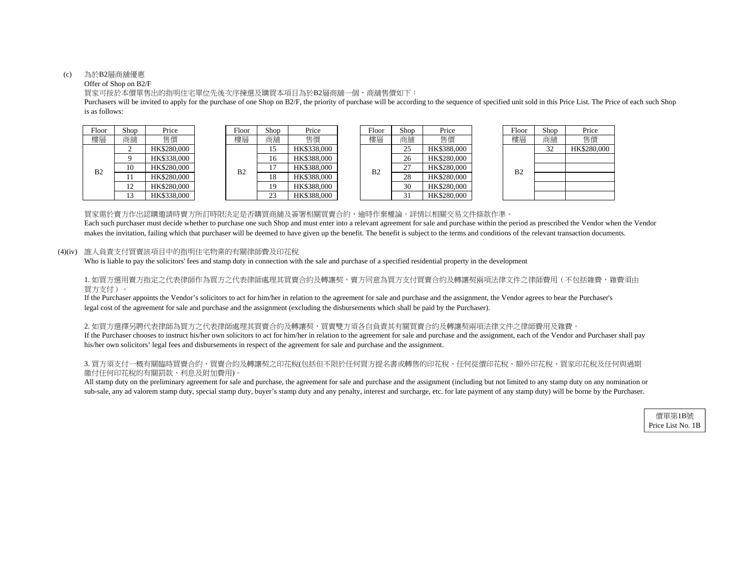## (c) 為於B2層商舖優惠

## Offer of Shop on B2/F

買家可按於本價單售出的指明住宅單位先後次序揀選及購買本項目為於B2層商舖一個,商舖售價如下:

is as follows: Purchasers will be invited to apply for the purchase of one Shop on B2/F, the priority of purchase will be according to the sequence of specified unit sold in this Price List. The Price of each such Shop

| Floor          | Shop | Price       |  |
|----------------|------|-------------|--|
| 建層             | 商舖   | 售價          |  |
|                |      | HK\$280,000 |  |
|                |      | HK\$338,000 |  |
| B <sub>2</sub> | 10   | HK\$280,000 |  |
|                | 11   | HK\$280,000 |  |
|                | 12.  | HK\$280,000 |  |
|                |      | HK\$338,000 |  |

| vvi | OHOD | 1.ILC       |  |
|-----|------|-------------|--|
| 層   | 商舖   | 售價          |  |
| 32  | 15   | HK\$338,000 |  |
|     | 16   | HK\$388,000 |  |
|     | 17   | HK\$388,000 |  |
|     | 18   | HK\$388,000 |  |
|     | 19   | HK\$388,000 |  |
|     | 23   | HK\$388,000 |  |



| Floor          | Shop | Price       |
|----------------|------|-------------|
| 槵區             | 商舖   | 售價          |
|                | 32   | HK\$280,000 |
|                |      |             |
| B <sub>2</sub> |      |             |
|                |      |             |
|                |      |             |
|                |      |             |

買家需於賣方作出認購邀請時賣方所訂時限決定是否購買商舖及簽署相關買賣合約,逾時作棄權論。詳情以相關交易文件條款作準。 makes the invitation, failing which that purchaser will be deemed to have given up the benefit. The benefit is subject to the terms and conditions of the relevant transaction documents. Each such purchaser must decide whether to purchase one such Shop and must enter into a relevant agreement for sale and purchase within the period as prescribed the Vendor when the Vendor

(4)(iv) 誰人負責支付買賣該項目中的指明住宅物業的有關律師費及印花稅

Who is liable to pay the solicitors' fees and stamp duty in connection with the sale and purchase of a specified residential property in the development

1. 如買方選用賣方指定之代表律師作為買方之代表律師處理其買賣合約及轉讓契,賣方同意為買方支付買賣合約及轉讓契兩項法律文件之律師費用(不包括雜費,雜費須由 買方支付)。

legal cost of the agreement for sale and purchase and the assignment (excluding the disbursements which shall be paid by the Purchaser). If the Purchaser appoints the Vendor's solicitors to act for him/her in relation to the agreement for sale and purchase and the assignment, the Vendor agrees to bear the Purchaser's

## 2. 如買方選擇另聘代表律師為買方之代表律師處理其買賣合約及轉讓契,買賣雙方須各自負責其有關買賣合約及轉讓契兩項法律文件之律師費用及雜費。

If the Purchaser chooses to instruct his/her own solicitors to act for him/her in relation to the agreement for sale and purchase and the assignment, each of the Vendor and Purchaser shall pay his/her own solicitors' legal fees and disbursements in respect of the agreement for sale and purchase and the assignment.

## 3. 買方須支付一概有關臨時買賣合約、買賣合約及轉讓契之印花稅(包括但不限於任何買方提名書或轉售的印花稅、任何從價印花稅、額外印花稅、買家印花稅及任何與過期 繳付任何印花稅的有關罰款、利息及附加費用)。

All stamp duty on the preliminary agreement for sale and purchase, the agreement for sale and purchase and the assignment (including but not limited to any stamp duty on any nomination or sub-sale, any ad valorem stamp duty, special stamp duty, buyer's stamp duty and any penalty, interest and surcharge, etc. for late payment of any stamp duty) will be borne by the Purchaser.